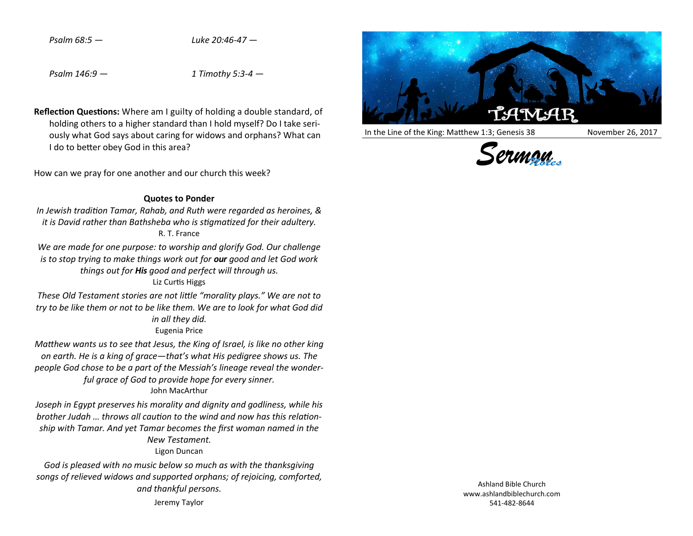*Psalm 68:5 — Luke 20:46-47 —*

*Psalm 146:9 — 1 Timothy 5:3-4 —*

**Reflection Questions:** Where am I guilty of holding a double standard, of holding others to a higher standard than I hold myself? Do I take seriously what God says about caring for widows and orphans? What can I do to better obey God in this area?

How can we pray for one another and our church this week?

## **Quotes to Ponder**

*In Jewish tradition Tamar, Rahab, and Ruth were regarded as heroines, & it is David rather than Bathsheba who is stigmatized for their adultery.* R. T. France

*We are made for one purpose: to worship and glorify God. Our challenge is to stop trying to make things work out for our good and let God work things out for His good and perfect will through us.* Liz Curtis Higgs

*These Old Testament stories are not little "morality plays." We are not to try to be like them or not to be like them. We are to look for what God did in all they did.* Eugenia Price

*Matthew wants us to see that Jesus, the King of Israel, is like no other king on earth. He is a king of grace—that's what His pedigree shows us. The people God chose to be a part of the Messiah's lineage reveal the wonderful grace of God to provide hope for every sinner.* John MacArthur

*Joseph in Egypt preserves his morality and dignity and godliness, while his brother Judah … throws all caution to the wind and now has this relationship with Tamar. And yet Tamar becomes the first woman named in the New Testament.*

Ligon Duncan

*God is pleased with no music below so much as with the thanksgiving songs of relieved widows and supported orphans; of rejoicing, comforted, and thankful persons.* 

Jeremy Taylor



In the Line of the King: Matthew 1:3; Genesis 38 November 26, 2017



Ashland Bible Church www.ashlandbiblechurch.com 541-482-8644